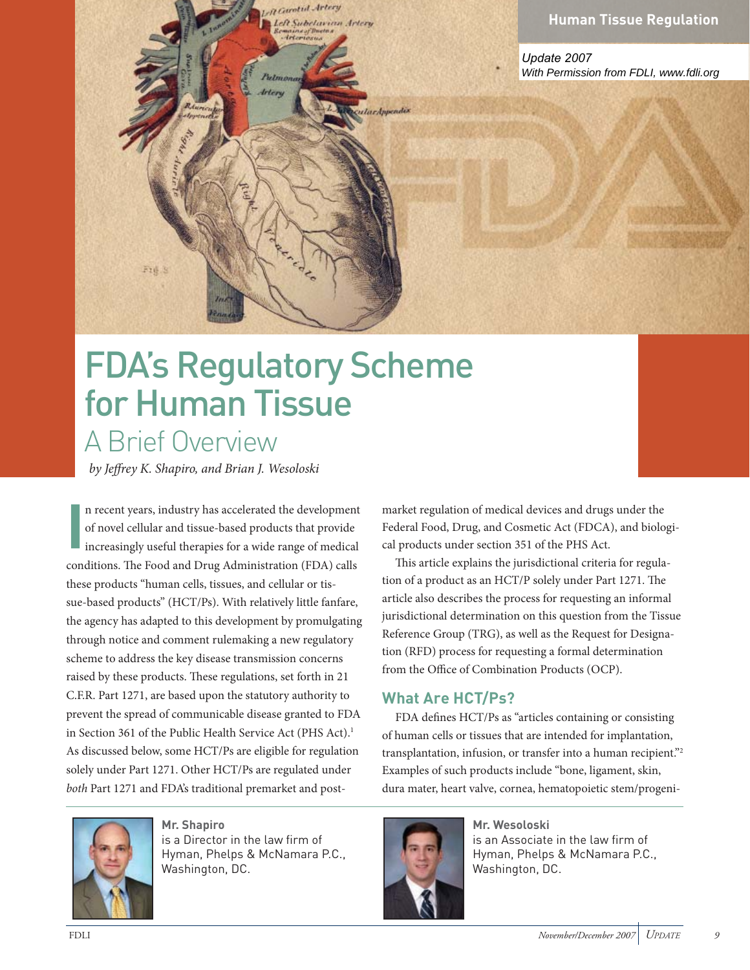

*Update 2007 With Permission from FDLI, www.fdli.org*

# FDA's Regulatory Scheme<br>for Human Tissue A Brief Overview

R Garotid Artery Left Subelavian Artery

IncAnnendis

**Arton** 

by Jeffrey K. Shapiro, and Brian J. Wesoloski

Fig.3

cone<br>thes<br>suen recent years, industry has accelerated the development of novel cellular and tissue-based products that provide increasingly useful therapies for a wide range of medical conditions. The Food and Drug Administration (FDA) calls these products "human cells, tissues, and cellular or tissue-based products" (HCT/Ps). With relatively little fanfare, the agency has adapted to this development by promulgating through notice and comment rulemaking a new regulatory scheme to address the key disease transmission concerns raised by these products. These regulations, set forth in 21 C.F.R. Part 1271, are based upon the statutory authority to prevent the spread of communicable disease granted to FDA in Section 361 of the Public Health Service Act (PHS Act).<sup>1</sup> As discussed below, some HCT/Ps are eligible for regulation solely under Part 1271. Other HCT/Ps are regulated under both Part 1271 and FDA's traditional premarket and post-



Hyman, Phelps & McNamara P.C., Hyman, Phelps & McNamara P.C., Washington, DC.

market regulation of medical devices and drugs under the Federal Food, Drug, and Cosmetic Act (FDCA), and biological products under section 351 of the PHS Act.

This article explains the jurisdictional criteria for regulation of a product as an HCT/P solely under Part 1271. The article also describes the process for requesting an informal jurisdictional determination on this question from the Tissue Reference Group (TRG), as well as the Request for Designation (RFD) process for requesting a formal determination from the Office of Combination Products (OCP).

#### **What Are HCT/Ps?**

FDA defines HCT/Ps as "articles containing or consisting of human cells or tissues that are intended for implantation, transplantation, infusion, or transfer into a human recipient."2 Examples of such products include "bone, ligament, skin, dura mater, heart valve, cornea, hematopoietic stem/progeni-



Mr. Wesoloski is an Associate in the law firm of Hyman, Phelps & McNamara P.C., Hyman, Phelps & McNamara P.C., washington, 200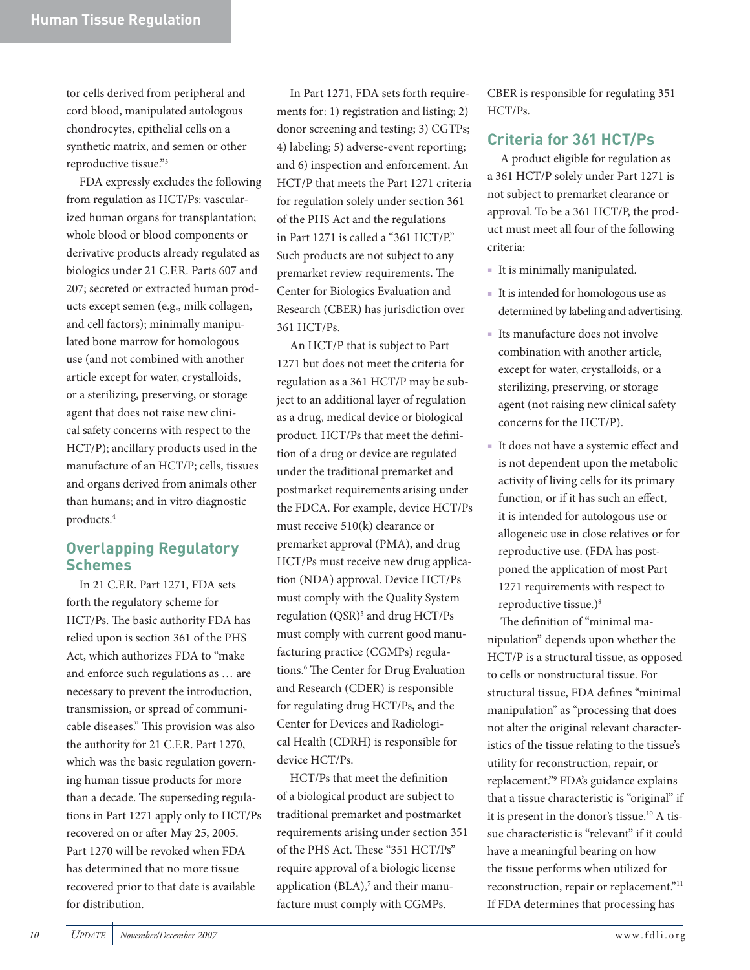tor cells derived from peripheral and cord blood, manipulated autologous chondrocytes, epithelial cells on a synthetic matrix, and semen or other reproductive tissue."3

FDA expressly excludes the following from regulation as HCT/Ps: vascularized human organs for transplantation; whole blood or blood components or derivative products already regulated as biologics under 21 C.F.R. Parts 607 and 207; secreted or extracted human products except semen (e.g., milk collagen, and cell factors); minimally manipulated bone marrow for homologous use (and not combined with another article except for water, crystalloids, or a sterilizing, preserving, or storage agent that does not raise new clinical safety concerns with respect to the HCT/P); ancillary products used in the manufacture of an HCT/P; cells, tissues and organs derived from animals other than humans; and in vitro diagnostic products.4

## **Overlapping Regulatory**

**Schemes** In 21 C.F.R. Part 1271, FDA sets forth the regulatory scheme for HCT/Ps. The basic authority FDA has relied upon is section 361 of the PHS Act, which authorizes FDA to "make and enforce such regulations as … are necessary to prevent the introduction, transmission, or spread of communicable diseases." This provision was also the authority for 21 C.F.R. Part 1270, which was the basic regulation governing human tissue products for more than a decade. The superseding regulations in Part 1271 apply only to HCT/Ps recovered on or after May 25, 2005. Part 1270 will be revoked when FDA has determined that no more tissue recovered prior to that date is available for distribution.

In Part 1271, FDA sets forth requirements for: 1) registration and listing; 2) donor screening and testing; 3) CGTPs; 4) labeling; 5) adverse-event reporting; and 6) inspection and enforcement. An HCT/P that meets the Part 1271 criteria for regulation solely under section 361 of the PHS Act and the regulations in Part 1271 is called a "361 HCT/P." Such products are not subject to any premarket review requirements. The Center for Biologics Evaluation and Research (CBER) has jurisdiction over 361 HCT/Ps.

An HCT/P that is subject to Part 1271 but does not meet the criteria for regulation as a 361 HCT/P may be subject to an additional layer of regulation as a drug, medical device or biological product. HCT/Ps that meet the definition of a drug or device are regulated under the traditional premarket and postmarket requirements arising under the FDCA. For example, device HCT/Ps must receive 510(k) clearance or premarket approval (PMA), and drug HCT/Ps must receive new drug application (NDA) approval. Device HCT/Ps must comply with the Quality System regulation (QSR)<sup>5</sup> and drug HCT/Ps must comply with current good manufacturing practice (CGMPs) regulations.<sup>6</sup> The Center for Drug Evaluation and Research (CDER) is responsible for regulating drug HCT/Ps, and the Center for Devices and Radiological Health (CDRH) is responsible for device HCT/Ps.

HCT/Ps that meet the definition of a biological product are subject to traditional premarket and postmarket requirements arising under section 351 of the PHS Act. These "351 HCT/Ps" require approval of a biologic license application (BLA),<sup>7</sup> and their manufacture must comply with CGMPs.

CBER is responsible for regulating 351 HCT/Ps.

### **Criteria for 361 HCT/Ps**

**Criteria for 361 HCT/Ps** A product eligible for regulation as a 361 HCT/P solely under Part 1271 is not subject to premarket clearance or approval. To be a 361 HCT/P, the product must meet all four of the following criteria:

- It is minimally manipulated.
- It is intended for homologous use as determined by labeling and advertising.
- Its manufacture does not involve combination with another article, except for water, crystalloids, or a sterilizing, preserving, or storage agent (not raising new clinical safety concerns for the HCT/P).
- It does not have a systemic effect and is not dependent upon the metabolic activity of living cells for its primary function, or if it has such an effect, it is intended for autologous use or allogeneic use in close relatives or for reproductive use. (FDA has postponed the application of most Part 1271 requirements with respect to reproductive tissue.)8

The definition of "minimal manipulation" depends upon whether the HCT/P is a structural tissue, as opposed to cells or nonstructural tissue. For structural tissue, FDA defines "minimal manipulation" as "processing that does not alter the original relevant characteristics of the tissue relating to the tissue's utility for reconstruction, repair, or replacement."9 FDA's guidance explains that a tissue characteristic is "original" if it is present in the donor's tissue.10 A tissue characteristic is "relevant" if it could have a meaningful bearing on how the tissue performs when utilized for reconstruction, repair or replacement."<sup>11</sup> If FDA determines that processing has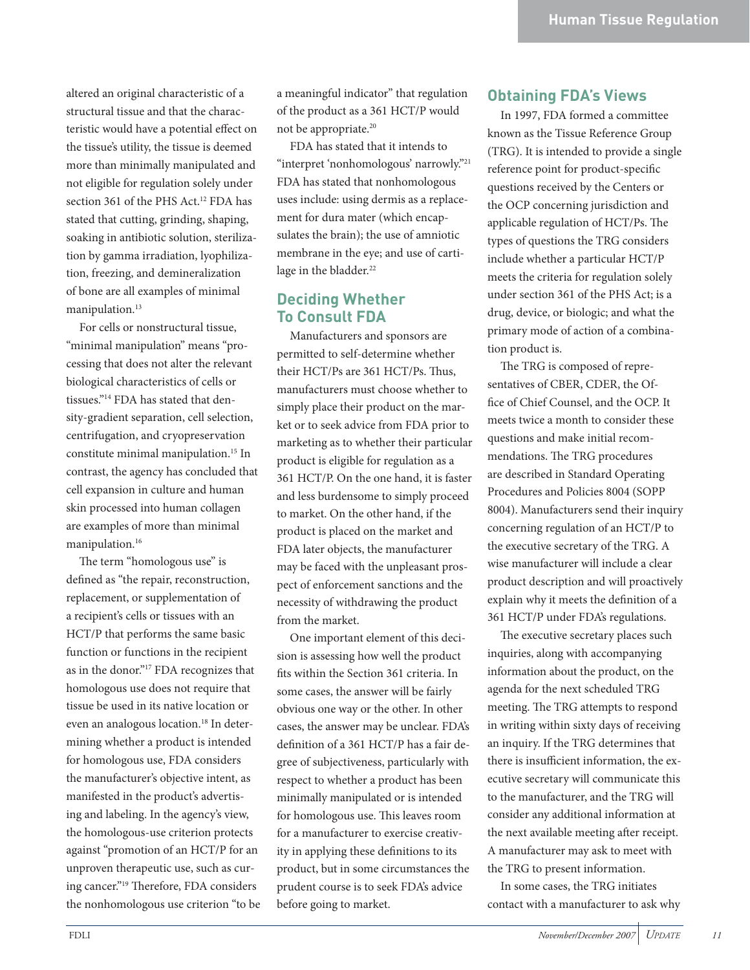altered an original characteristic of a structural tissue and that the characteristic would have a potential effect on the tissue's utility, the tissue is deemed more than minimally manipulated and not eligible for regulation solely under section 361 of the PHS Act.<sup>12</sup> FDA has stated that cutting, grinding, shaping, soaking in antibiotic solution, sterilization by gamma irradiation, lyophilization, freezing, and demineralization of bone are all examples of minimal manipulation.<sup>13</sup>

For cells or nonstructural tissue, "minimal manipulation" means "processing that does not alter the relevant biological characteristics of cells or tissues."14 FDA has stated that density-gradient separation, cell selection, centrifugation, and cryopreservation constitute minimal manipulation.<sup>15</sup> In contrast, the agency has concluded that cell expansion in culture and human skin processed into human collagen are examples of more than minimal manipulation.<sup>16</sup>

The term "homologous use" is defined as "the repair, reconstruction, replacement, or supplementation of a recipient's cells or tissues with an HCT/P that performs the same basic function or functions in the recipient as in the donor."17 FDA recognizes that homologous use does not require that tissue be used in its native location or even an analogous location.<sup>18</sup> In determining whether a product is intended for homologous use, FDA considers the manufacturer's objective intent, as manifested in the product's advertising and labeling. In the agency's view, the homologous-use criterion protects against "promotion of an HCT/P for an unproven therapeutic use, such as curing cancer."<sup>19</sup> Therefore, FDA considers the nonhomologous use criterion "to be a meaningful indicator" that regulation of the product as a 361 HCT/P would not be appropriate.20

FDA has stated that it intends to "interpret 'nonhomologous' narrowly."21 FDA has stated that nonhomologous uses include: using dermis as a replacement for dura mater (which encapsulates the brain); the use of amniotic membrane in the eye; and use of cartilage in the bladder.<sup>22</sup>

### **Deciding Whether**

Manufacturers and sponsors are permitted to self-determine whether their HCT/Ps are 361 HCT/Ps. Thus, manufacturers must choose whether to simply place their product on the market or to seek advice from FDA prior to marketing as to whether their particular product is eligible for regulation as a 361 HCT/P. On the one hand, it is faster and less burdensome to simply proceed to market. On the other hand, if the product is placed on the market and FDA later objects, the manufacturer may be faced with the unpleasant prospect of enforcement sanctions and the necessity of withdrawing the product from the market.

One important element of this decision is assessing how well the product fits within the Section 361 criteria. In some cases, the answer will be fairly obvious one way or the other. In other cases, the answer may be unclear. FDA's definition of a 361 HCT/P has a fair degree of subjectiveness, particularly with respect to whether a product has been minimally manipulated or is intended for homologous use. This leaves room for a manufacturer to exercise creativity in applying these definitions to its product, but in some circumstances the prudent course is to seek FDA's advice before going to market.

**Obtaining FDA's Views** In 1997, FDA formed a committee known as the Tissue Reference Group (TRG). It is intended to provide a single reference point for product-specific questions received by the Centers or the OCP concerning jurisdiction and applicable regulation of HCT/Ps. The types of questions the TRG considers include whether a particular HCT/P meets the criteria for regulation solely under section 361 of the PHS Act; is a drug, device, or biologic; and what the primary mode of action of a combination product is.

The TRG is composed of representatives of CBER, CDER, the Office of Chief Counsel, and the OCP. It meets twice a month to consider these questions and make initial recommendations. The TRG procedures are described in Standard Operating Procedures and Policies 8004 (SOPP 8004). Manufacturers send their inquiry concerning regulation of an HCT/P to the executive secretary of the TRG. A wise manufacturer will include a clear product description and will proactively explain why it meets the definition of a 361 HCT/P under FDA's regulations.

The executive secretary places such inquiries, along with accompanying information about the product, on the agenda for the next scheduled TRG meeting. The TRG attempts to respond in writing within sixty days of receiving an inquiry. If the TRG determines that there is insufficient information, the executive secretary will communicate this to the manufacturer, and the TRG will consider any additional information at the next available meeting after receipt. A manufacturer may ask to meet with the TRG to present information.

In some cases, the TRG initiates contact with a manufacturer to ask why